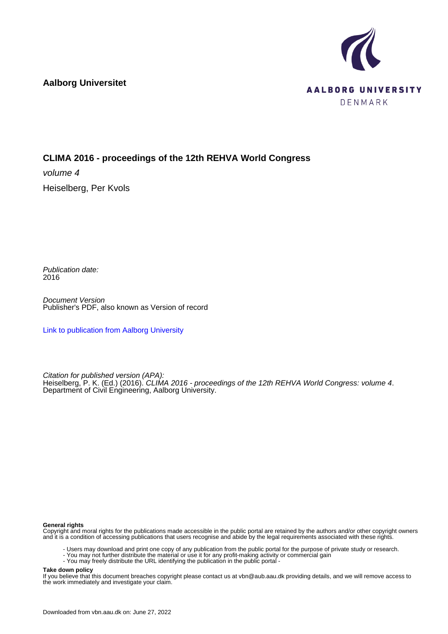**Aalborg Universitet**



# **CLIMA 2016 - proceedings of the 12th REHVA World Congress**

volume 4 Heiselberg, Per Kvols

Publication date: 2016

Document Version Publisher's PDF, also known as Version of record

[Link to publication from Aalborg University](https://vbn.aau.dk/en/publications/de565fc8-1955-4a9c-8146-f55cf1c5a13c)

Citation for published version (APA): Heiselberg, P. K. (Ed.) (2016). CLIMA 2016 - proceedings of the 12th REHVA World Congress: volume 4. Department of Civil Engineering, Aalborg University.

### **General rights**

Copyright and moral rights for the publications made accessible in the public portal are retained by the authors and/or other copyright owners and it is a condition of accessing publications that users recognise and abide by the legal requirements associated with these rights.

- Users may download and print one copy of any publication from the public portal for the purpose of private study or research.
- You may not further distribute the material or use it for any profit-making activity or commercial gain
- You may freely distribute the URL identifying the publication in the public portal -

#### **Take down policy**

If you believe that this document breaches copyright please contact us at vbn@aub.aau.dk providing details, and we will remove access to the work immediately and investigate your claim.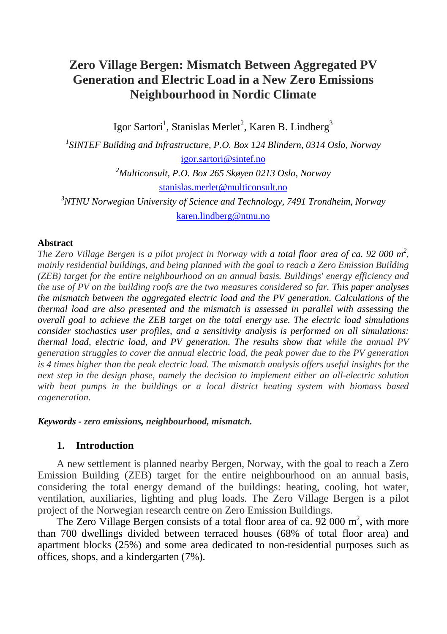## **Zero Village Bergen: Mismatch Between Aggregated PV Generation and Electric Load in a New Zero Emissions Neighbourhood in Nordic Climate**

Igor Sartori<sup>1</sup>, Stanislas Merlet<sup>2</sup>, Karen B. Lindberg<sup>3</sup>

*1 SINTEF Building and Infrastructure, P.O. Box 124 Blindern, 0314 Oslo, Norway* [igor.sartori@sintef.no](mailto:igor.sartori@sintef.no) *2 Multiconsult, P.O. Box 265 Skøyen 0213 Oslo, Norway* [stanislas.merlet@multiconsult.no](mailto:stanislas.merlet@multiconsult.no) *3 NTNU Norwegian University of Science and Technology, 7491 Trondheim, Norway* [karen.lindberg@ntnu.no](mailto:karen.lindberg@ntnu.no)

#### **Abstract**

*The Zero Village Bergen is a pilot project in Norway with a total floor area of ca. 92 000 m2 , mainly residential buildings, and being planned with the goal to reach a Zero Emission Building (ZEB) target for the entire neighbourhood on an annual basis. Buildings' energy efficiency and the use of PV on the building roofs are the two measures considered so far. This paper analyses the mismatch between the aggregated electric load and the PV generation. Calculations of the thermal load are also presented and the mismatch is assessed in parallel with assessing the overall goal to achieve the ZEB target on the total energy use. The electric load simulations consider stochastics user profiles, and a sensitivity analysis is performed on all simulations: thermal load, electric load, and PV generation. The results show that while the annual PV generation struggles to cover the annual electric load, the peak power due to the PV generation is 4 times higher than the peak electric load. The mismatch analysis offers useful insights for the next step in the design phase, namely the decision to implement either an all-electric solution with heat pumps in the buildings or a local district heating system with biomass based cogeneration.* 

#### *Keywords - zero emissions, neighbourhood, mismatch.*

### **1. Introduction**

A new settlement is planned nearby Bergen, Norway, with the goal to reach a Zero Emission Building (ZEB) target for the entire neighbourhood on an annual basis, considering the total energy demand of the buildings: heating, cooling, hot water, ventilation, auxiliaries, lighting and plug loads. The Zero Village Bergen is a pilot project of the Norwegian research centre on Zero Emission Buildings.

The Zero Village Bergen consists of a total floor area of ca.  $92\ 000 \text{ m}^2$ , with more than 700 dwellings divided between terraced houses (68% of total floor area) and apartment blocks (25%) and some area dedicated to non-residential purposes such as offices, shops, and a kindergarten (7%).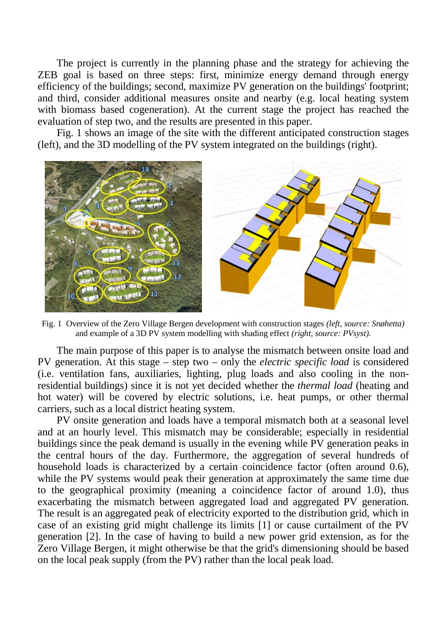The project is currently in the planning phase and the strategy for achieving the ZEB goal is based on three steps: first, minimize energy demand through energy efficiency of the buildings; second, maximize PV generation on the buildings' footprint; and third, consider additional measures onsite and nearby (e.g. local heating system with biomass based cogeneration). At the current stage the project has reached the evaluation of step two, and the results are presented in this paper.

[Fig. 1](#page-2-0) shows an image of the site with the different anticipated construction stages (left), and the 3D modelling of the PV system integrated on the buildings (right).



Fig. 1 Overview of the Zero Village Bergen development with construction stages *(left, source: Snøhetta)* and example of a 3D PV system modelling with shading effect *(right, source: PVsyst)*.

<span id="page-2-0"></span>The main purpose of this paper is to analyse the mismatch between onsite load and PV generation. At this stage – step two – only the *electric specific load* is considered (i.e. ventilation fans, auxiliaries, lighting, plug loads and also cooling in the nonresidential buildings) since it is not yet decided whether the *thermal load* (heating and hot water) will be covered by electric solutions, i.e. heat pumps, or other thermal carriers, such as a local district heating system.

PV onsite generation and loads have a temporal mismatch both at a seasonal level and at an hourly level. This mismatch may be considerable; especially in residential buildings since the peak demand is usually in the evening while PV generation peaks in the central hours of the day. Furthermore, the aggregation of several hundreds of household loads is characterized by a certain coincidence factor (often around 0.6), while the PV systems would peak their generation at approximately the same time due to the geographical proximity (meaning a coincidence factor of around 1.0), thus exacerbating the mismatch between aggregated load and aggregated PV generation. The result is an aggregated peak of electricity exported to the distribution grid, which in case of an existing grid might challenge its limits [\[1\]](#page-10-0) or cause curtailment of the PV generation [\[2\].](#page-10-1) In the case of having to build a new power grid extension, as for the Zero Village Bergen, it might otherwise be that the grid's dimensioning should be based on the local peak supply (from the PV) rather than the local peak load.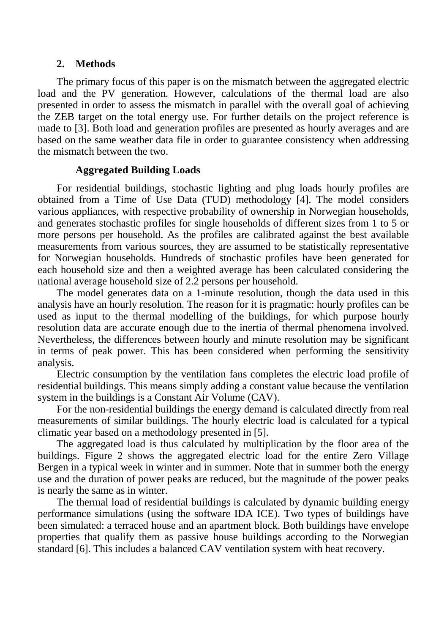#### **2. Methods**

The primary focus of this paper is on the mismatch between the aggregated electric load and the PV generation. However, calculations of the thermal load are also presented in order to assess the mismatch in parallel with the overall goal of achieving the ZEB target on the total energy use. For further details on the project reference is made to [\[3\].](#page-10-2) Both load and generation profiles are presented as hourly averages and are based on the same weather data file in order to guarantee consistency when addressing the mismatch between the two.

## **Aggregated Building Loads**

For residential buildings, stochastic lighting and plug loads hourly profiles are obtained from a Time of Use Data (TUD) methodology [\[4\].](#page-10-3) The model considers various appliances, with respective probability of ownership in Norwegian households, and generates stochastic profiles for single households of different sizes from 1 to 5 or more persons per household. As the profiles are calibrated against the best available measurements from various sources, they are assumed to be statistically representative for Norwegian households. Hundreds of stochastic profiles have been generated for each household size and then a weighted average has been calculated considering the national average household size of 2.2 persons per household.

The model generates data on a 1-minute resolution, though the data used in this analysis have an hourly resolution. The reason for it is pragmatic: hourly profiles can be used as input to the thermal modelling of the buildings, for which purpose hourly resolution data are accurate enough due to the inertia of thermal phenomena involved. Nevertheless, the differences between hourly and minute resolution may be significant in terms of peak power. This has been considered when performing the sensitivity analysis.

Electric consumption by the ventilation fans completes the electric load profile of residential buildings. This means simply adding a constant value because the ventilation system in the buildings is a Constant Air Volume (CAV).

For the non-residential buildings the energy demand is calculated directly from real measurements of similar buildings. The hourly electric load is calculated for a typical climatic year based on a methodology presented i[n \[5\].](#page-10-4)

The aggregated load is thus calculated by multiplication by the floor area of the buildings. Figure 2 shows the aggregated electric load for the entire Zero Village Bergen in a typical week in winter and in summer. Note that in summer both the energy use and the duration of power peaks are reduced, but the magnitude of the power peaks is nearly the same as in winter.

The thermal load of residential buildings is calculated by dynamic building energy performance simulations (using the software IDA ICE). Two types of buildings have been simulated: a terraced house and an apartment block. Both buildings have envelope properties that qualify them as passive house buildings according to the Norwegian standard [\[6\].](#page-10-5) This includes a balanced CAV ventilation system with heat recovery.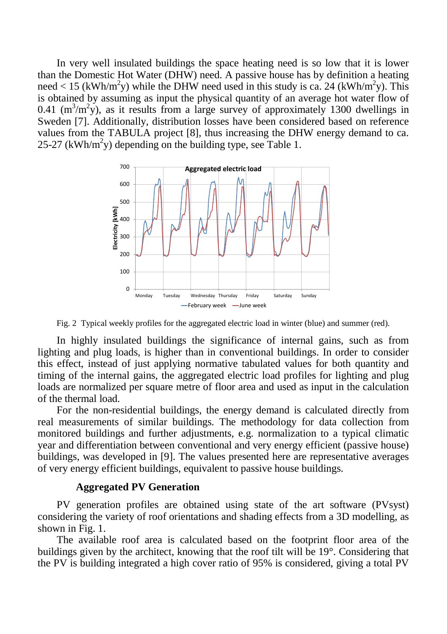In very well insulated buildings the space heating need is so low that it is lower than the Domestic Hot Water (DHW) need. A passive house has by definition a heating need < 15 (kWh/m<sup>2</sup>y) while the DHW need used in this study is ca. 24 (kWh/m<sup>2</sup>y). This is obtained by assuming as input the physical quantity of an average hot water flow of 0.41 ( $m^3/m^2y$ ), as it results from a large survey of approximately 1300 dwellings in Sweden [\[7\].](#page-10-6) Additionally, distribution losses have been considered based on reference values from the TABULA project [\[8\],](#page-10-7) thus increasing the DHW energy demand to ca. 25-27 (kWh/m<sup>2</sup>y) depending on the building type, see [Table 1.](#page-6-0)



Fig. 2 Typical weekly profiles for the aggregated electric load in winter (blue) and summer (red).

In highly insulated buildings the significance of internal gains, such as from lighting and plug loads, is higher than in conventional buildings. In order to consider this effect, instead of just applying normative tabulated values for both quantity and timing of the internal gains, the aggregated electric load profiles for lighting and plug loads are normalized per square metre of floor area and used as input in the calculation of the thermal load.

For the non-residential buildings, the energy demand is calculated directly from real measurements of similar buildings. The methodology for data collection from monitored buildings and further adjustments, e.g. normalization to a typical climatic year and differentiation between conventional and very energy efficient (passive house) buildings, was developed in [\[9\].](#page-10-8) The values presented here are representative averages of very energy efficient buildings, equivalent to passive house buildings.

## **Aggregated PV Generation**

PV generation profiles are obtained using state of the art software (PVsyst) considering the variety of roof orientations and shading effects from a 3D modelling, as shown in [Fig. 1.](#page-2-0)

The available roof area is calculated based on the footprint floor area of the buildings given by the architect, knowing that the roof tilt will be 19°. Considering that the PV is building integrated a high cover ratio of 95% is considered, giving a total PV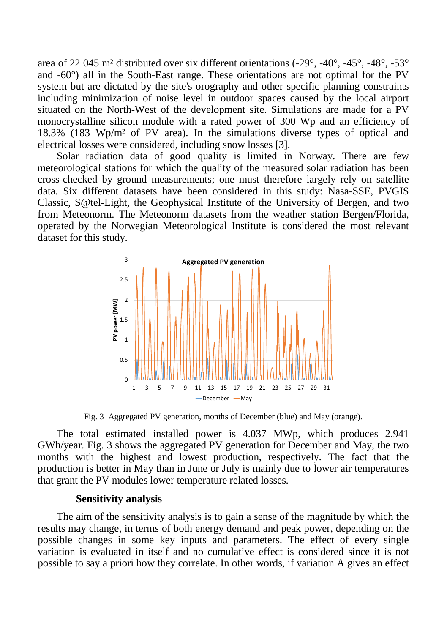area of 22 045 m<sup>2</sup> distributed over six different orientations  $(-29^\circ, -40^\circ, -45^\circ, -48^\circ, -53^\circ)$ and -60°) all in the South-East range. These orientations are not optimal for the PV system but are dictated by the site's orography and other specific planning constraints including minimization of noise level in outdoor spaces caused by the local airport situated on the North-West of the development site. Simulations are made for a PV monocrystalline silicon module with a rated power of 300 Wp and an efficiency of 18.3% (183 Wp/m² of PV area). In the simulations diverse types of optical and electrical losses were considered, including snow losse[s \[3\].](#page-10-2)

Solar radiation data of good quality is limited in Norway. There are few meteorological stations for which the quality of the measured solar radiation has been cross-checked by ground measurements; one must therefore largely rely on satellite data. Six different datasets have been considered in this study: Nasa-SSE, PVGIS Classic, S@tel-Light, the Geophysical Institute of the University of Bergen, and two from Meteonorm. The Meteonorm datasets from the weather station Bergen/Florida, operated by the Norwegian Meteorological Institute is considered the most relevant dataset for this study.



Fig. 3 Aggregated PV generation, months of December (blue) and May (orange).

<span id="page-5-0"></span>The total estimated installed power is 4.037 MWp, which produces 2.941 GWh/year. [Fig. 3](#page-5-0) shows the aggregated PV generation for December and May, the two months with the highest and lowest production, respectively. The fact that the production is better in May than in June or July is mainly due to lower air temperatures that grant the PV modules lower temperature related losses.

### **Sensitivity analysis**

The aim of the sensitivity analysis is to gain a sense of the magnitude by which the results may change, in terms of both energy demand and peak power, depending on the possible changes in some key inputs and parameters. The effect of every single variation is evaluated in itself and no cumulative effect is considered since it is not possible to say a priori how they correlate. In other words, if variation A gives an effect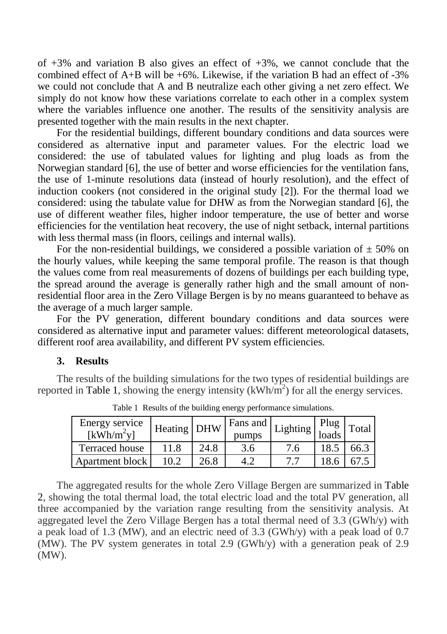of  $+3\%$  and variation B also gives an effect of  $+3\%$ , we cannot conclude that the combined effect of  $A+B$  will be +6%. Likewise, if the variation B had an effect of -3% we could not conclude that A and B neutralize each other giving a net zero effect. We simply do not know how these variations correlate to each other in a complex system where the variables influence one another. The results of the sensitivity analysis are presented together with the main results in the next chapter.

For the residential buildings, different boundary conditions and data sources were considered as alternative input and parameter values. For the electric load we considered: the use of tabulated values for lighting and plug loads as from the Norwegian standard [\[6\],](#page-10-5) the use of better and worse efficiencies for the ventilation fans, the use of 1-minute resolutions data (instead of hourly resolution), and the effect of induction cookers (not considered in the original study [\[2\]\)](#page-10-9). For the thermal load we considered: using the tabulate value for DHW as from the Norwegian standard [\[6\],](#page-10-5) the use of different weather files, higher indoor temperature, the use of better and worse efficiencies for the ventilation heat recovery, the use of night setback, internal partitions with less thermal mass (in floors, ceilings and internal walls).

For the non-residential buildings, we considered a possible variation of  $\pm$  50% on the hourly values, while keeping the same temporal profile. The reason is that though the values come from real measurements of dozens of buildings per each building type, the spread around the average is generally rather high and the small amount of nonresidential floor area in the Zero Village Bergen is by no means guaranteed to behave as the average of a much larger sample.

For the PV generation, different boundary conditions and data sources were considered as alternative input and parameter values: different meteorological datasets, different roof area availability, and different PV system efficiencies.

## **3. Results**

<span id="page-6-0"></span>The results of the building simulations for the two types of residential buildings are reported in [Table 1,](#page-6-0) showing the energy intensity  $(kWh/m<sup>2</sup>)$  for all the energy services.

| Energy service<br>$[kWh/m^2y]$ | Heating DHW |      | Fans and $\vert$ ,<br>pumps | Lighting $\begin{bmatrix} \Gamma^{I} \end{bmatrix}$ | Plug<br>loads | Total |
|--------------------------------|-------------|------|-----------------------------|-----------------------------------------------------|---------------|-------|
| Terraced house                 | 11.8        | 24.8 | 3.6                         | 7.6                                                 | 18.5          | 66.3  |
| Apartment block                | 10.2        | 26.8 |                             |                                                     | 18.6          | 67.5  |

Table 1 Results of the building energy performance simulations.

The aggregated results for the whole Zero Village Bergen are summarized in [Table](#page-7-0)  [2,](#page-7-0) showing the total thermal load, the total electric load and the total PV generation, all three accompanied by the variation range resulting from the sensitivity analysis. At aggregated level the Zero Village Bergen has a total thermal need of 3.3 (GWh/y) with a peak load of 1.3 (MW), and an electric need of 3.3 (GWh/y) with a peak load of 0.7 (MW). The PV system generates in total 2.9 (GWh/y) with a generation peak of 2.9 (MW).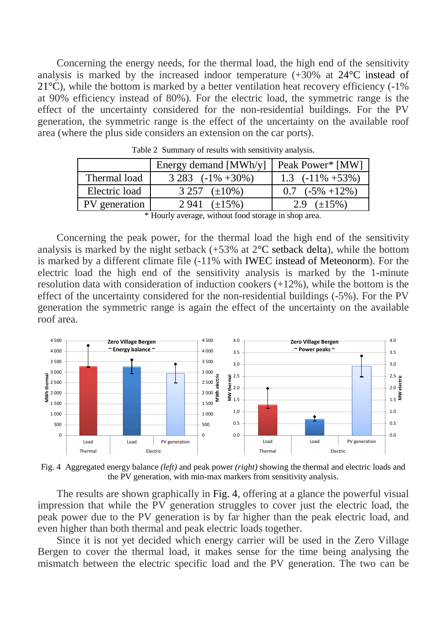Concerning the energy needs, for the thermal load, the high end of the sensitivity analysis is marked by the increased indoor temperature  $(+30\% \text{ at } 24\degree \text{C}$  instead of  $21^{\circ}$ C), while the bottom is marked by a better ventilation heat recovery efficiency (-1%) at 90% efficiency instead of 80%). For the electric load, the symmetric range is the effect of the uncertainty considered for the non-residential buildings. For the PV generation, the symmetric range is the effect of the uncertainty on the available roof area (where the plus side considers an extension on the car ports).

<span id="page-7-0"></span>

|               | Energy demand [MWh/y]          | Peak Power* [MW]      |  |  |  |
|---------------|--------------------------------|-----------------------|--|--|--|
| Thermal load  | $3283$ $(-1\% +30\%)$          | 1.3 $(-11\% + 53\%)$  |  |  |  |
| Electric load | 3 257 $(\pm 10\%)$             | $0.7$ ( $-5\%$ +12\%) |  |  |  |
| PV generation | $2941 \left( \pm 15\% \right)$ | 2.9 $(\pm 15\%)$      |  |  |  |
| .             |                                |                       |  |  |  |

Table 2 Summary of results with sensitivity analysis.

\* Hourly average, without food storage in shop area.

Concerning the peak power, for the thermal load the high end of the sensitivity analysis is marked by the night setback  $(+53\%$  at  $2^{\circ}$ C setback delta), while the bottom is marked by a different climate file (-11% with IWEC instead of Meteonorm). For the electric load the high end of the sensitivity analysis is marked by the 1-minute resolution data with consideration of induction cookers (+12%), while the bottom is the effect of the uncertainty considered for the non-residential buildings (-5%). For the PV generation the symmetric range is again the effect of the uncertainty on the available roof area.



<span id="page-7-1"></span>Fig. 4 Aggregated energy balance *(left)* and peak power *(right)* showing the thermal and electric loads and the PV generation, with min-max markers from sensitivity analysis.

The results are shown graphically in [Fig. 4,](#page-7-1) offering at a glance the powerful visual impression that while the PV generation struggles to cover just the electric load, the peak power due to the PV generation is by far higher than the peak electric load, and even higher than both thermal and peak electric loads together.

Since it is not yet decided which energy carrier will be used in the Zero Village Bergen to cover the thermal load, it makes sense for the time being analysing the mismatch between the electric specific load and the PV generation. The two can be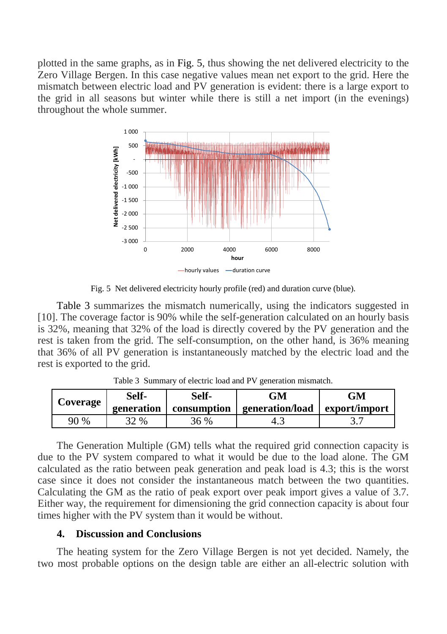plotted in the same graphs, as in [Fig. 5,](#page-8-0) thus showing the net delivered electricity to the Zero Village Bergen. In this case negative values mean net export to the grid. Here the mismatch between electric load and PV generation is evident: there is a large export to the grid in all seasons but winter while there is still a net import (in the evenings) throughout the whole summer.



Fig. 5 Net delivered electricity hourly profile (red) and duration curve (blue).

<span id="page-8-0"></span>[Table 3](#page-8-1) summarizes the mismatch numerically, using the indicators suggested in [\[10\].](#page-10-10) The coverage factor is 90% while the self-generation calculated on an hourly basis is 32%, meaning that 32% of the load is directly covered by the PV generation and the rest is taken from the grid. The self-consumption, on the other hand, is 36% meaning that 36% of all PV generation is instantaneously matched by the electric load and the rest is exported to the grid.

<span id="page-8-1"></span>

| <b>Coverage</b> | Self-      | Self-       | ЭM              | GМ            |
|-----------------|------------|-------------|-----------------|---------------|
|                 | generation | consumption | generation/load | export/import |
| 90 %            | 32 %       | 36 %        |                 |               |

Table 3 Summary of electric load and PV generation mismatch.

The Generation Multiple (GM) tells what the required grid connection capacity is due to the PV system compared to what it would be due to the load alone. The GM calculated as the ratio between peak generation and peak load is 4.3; this is the worst case since it does not consider the instantaneous match between the two quantities. Calculating the GM as the ratio of peak export over peak import gives a value of 3.7. Either way, the requirement for dimensioning the grid connection capacity is about four times higher with the PV system than it would be without.

## **4. Discussion and Conclusions**

The heating system for the Zero Village Bergen is not yet decided. Namely, the two most probable options on the design table are either an all-electric solution with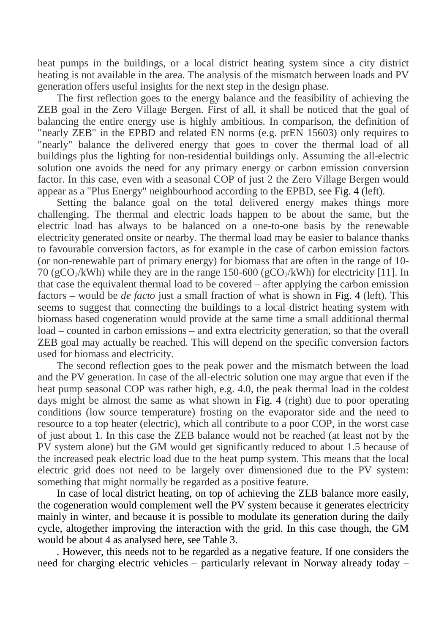heat pumps in the buildings, or a local district heating system since a city district heating is not available in the area. The analysis of the mismatch between loads and PV generation offers useful insights for the next step in the design phase.

The first reflection goes to the energy balance and the feasibility of achieving the ZEB goal in the Zero Village Bergen. First of all, it shall be noticed that the goal of balancing the entire energy use is highly ambitious. In comparison, the definition of "nearly ZEB" in the EPBD and related EN norms (e.g. prEN 15603) only requires to "nearly" balance the delivered energy that goes to cover the thermal load of all buildings plus the lighting for non-residential buildings only. Assuming the all-electric solution one avoids the need for any primary energy or carbon emission conversion factor. In this case, even with a seasonal COP of just 2 the Zero Village Bergen would appear as a "Plus Energy" neighbourhood according to the EPBD, see [Fig. 4](#page-7-1) (left).

Setting the balance goal on the total delivered energy makes things more challenging. The thermal and electric loads happen to be about the same, but the electric load has always to be balanced on a one-to-one basis by the renewable electricity generated onsite or nearby. The thermal load may be easier to balance thanks to favourable conversion factors, as for example in the case of carbon emission factors (or non-renewable part of primary energy) for biomass that are often in the range of 10- 70 (gCO<sub>2</sub>/kWh) while they are in the range 150-600 (gCO<sub>2</sub>/kWh) for electricity [\[11\].](#page-10-11) In that case the equivalent thermal load to be covered – after applying the carbon emission factors – would be *de facto* just a small fraction of what is shown in [Fig. 4](#page-7-1) (left). This seems to suggest that connecting the buildings to a local district heating system with biomass based cogeneration would provide at the same time a small additional thermal load – counted in carbon emissions – and extra electricity generation, so that the overall ZEB goal may actually be reached. This will depend on the specific conversion factors used for biomass and electricity.

The second reflection goes to the peak power and the mismatch between the load and the PV generation. In case of the all-electric solution one may argue that even if the heat pump seasonal COP was rather high, e.g. 4.0, the peak thermal load in the coldest days might be almost the same as what shown in [Fig. 4](#page-7-1) (right) due to poor operating conditions (low source temperature) frosting on the evaporator side and the need to resource to a top heater (electric), which all contribute to a poor COP, in the worst case of just about 1. In this case the ZEB balance would not be reached (at least not by the PV system alone) but the GM would get significantly reduced to about 1.5 because of the increased peak electric load due to the heat pump system. This means that the local electric grid does not need to be largely over dimensioned due to the PV system: something that might normally be regarded as a positive feature.

In case of local district heating, on top of achieving the ZEB balance more easily, the cogeneration would complement well the PV system because it generates electricity mainly in winter, and because it is possible to modulate its generation during the daily cycle, altogether improving the interaction with the grid. In this case though, the GM would be about 4 as analysed here, see [Table 3.](#page-8-1)

. However, this needs not to be regarded as a negative feature. If one considers the need for charging electric vehicles – particularly relevant in Norway already today –